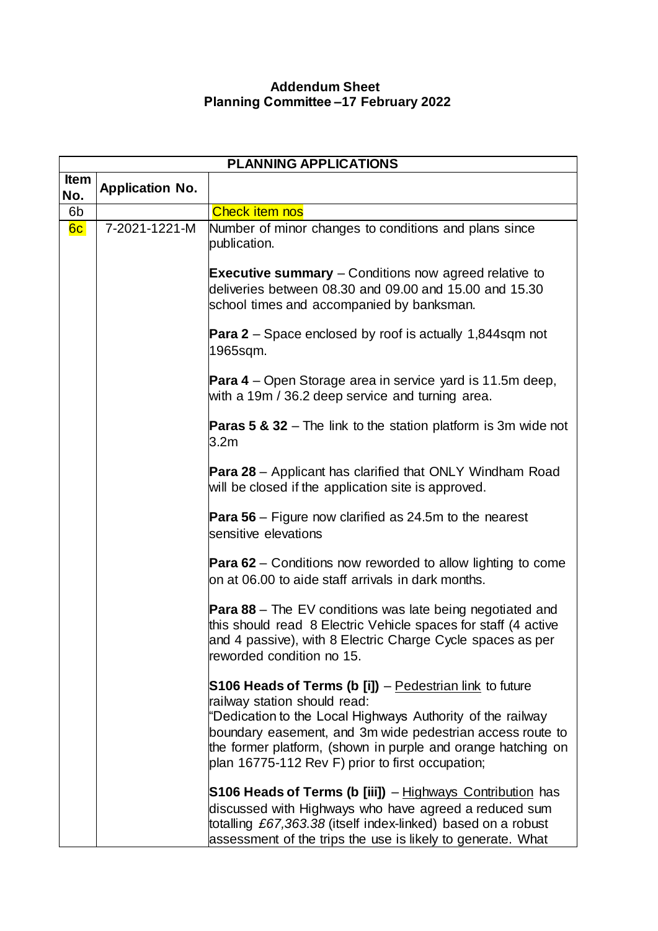## **Addendum Sheet Planning Committee –17 February 2022**

| <b>PLANNING APPLICATIONS</b> |                        |                                                                                                                                                                                                                                                                                                                                        |
|------------------------------|------------------------|----------------------------------------------------------------------------------------------------------------------------------------------------------------------------------------------------------------------------------------------------------------------------------------------------------------------------------------|
| <b>Item</b><br>No.           | <b>Application No.</b> |                                                                                                                                                                                                                                                                                                                                        |
| 6b                           |                        | <b>Check item nos</b>                                                                                                                                                                                                                                                                                                                  |
| 6c                           | 7-2021-1221-M          | Number of minor changes to conditions and plans since<br>publication.                                                                                                                                                                                                                                                                  |
|                              |                        | <b>Executive summary</b> – Conditions now agreed relative to<br>deliveries between 08.30 and 09.00 and 15.00 and 15.30<br>school times and accompanied by banksman.                                                                                                                                                                    |
|                              |                        | <b>Para 2</b> – Space enclosed by roof is actually 1,844sqm not<br>1965sqm.                                                                                                                                                                                                                                                            |
|                              |                        | <b>Para 4</b> – Open Storage area in service yard is 11.5m deep,<br>with a 19m / 36.2 deep service and turning area.                                                                                                                                                                                                                   |
|                              |                        | <b>Paras 5 &amp; 32</b> – The link to the station platform is 3m wide not<br>3.2 <sub>m</sub>                                                                                                                                                                                                                                          |
|                              |                        | <b>Para 28</b> – Applicant has clarified that ONLY Windham Road<br>will be closed if the application site is approved.                                                                                                                                                                                                                 |
|                              |                        | <b>Para 56</b> – Figure now clarified as 24.5m to the nearest<br>sensitive elevations                                                                                                                                                                                                                                                  |
|                              |                        | <b>Para 62</b> – Conditions now reworded to allow lighting to come<br>on at 06.00 to aide staff arrivals in dark months.                                                                                                                                                                                                               |
|                              |                        | <b>Para 88</b> – The EV conditions was late being negotiated and<br>this should read 8 Electric Vehicle spaces for staff (4 active<br>and 4 passive), with 8 Electric Charge Cycle spaces as per<br>reworded condition no 15.                                                                                                          |
|                              |                        | S106 Heads of Terms (b [i]) – Pedestrian link to future<br>railway station should read:<br>"Dedication to the Local Highways Authority of the railway<br>boundary easement, and 3m wide pedestrian access route to<br>the former platform, (shown in purple and orange hatching on<br>plan 16775-112 Rev F) prior to first occupation; |
|                              |                        | S106 Heads of Terms (b [iii]) – Highways Contribution has<br>discussed with Highways who have agreed a reduced sum<br>totalling £67,363.38 (itself index-linked) based on a robust<br>assessment of the trips the use is likely to generate. What                                                                                      |